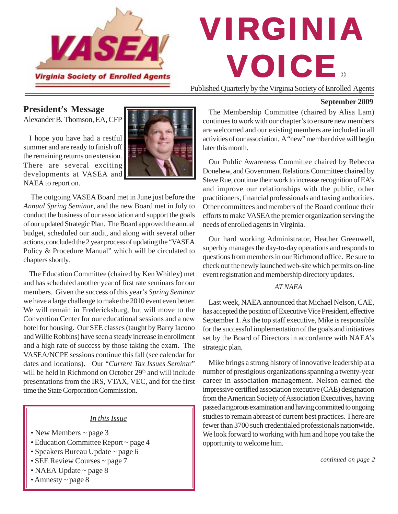

# © VIRGINIA VOICE

Published Quarterly by the Virginia Society of Enrolled Agents

## **President's Message**

Alexander B. Thomson, EA, CFP

I hope you have had a restful summer and are ready to finish off the remaining returns on extension. There are several exciting developments at VASEA and NAEA to report on.



 The outgoing VASEA Board met in June just before the *Annual Spring Seminar*, and the new Board met in July to conduct the business of our association and support the goals of our updated Strategic Plan. The Board approved the annual budget, scheduled our audit, and along with several other actions, concluded the 2 year process of updating the "VASEA Policy & Procedure Manual" which will be circulated to chapters shortly.

The Education Committee (chaired by Ken Whitley) met and has scheduled another year of first rate seminars for our members. Given the success of this year's *Spring Seminar* we have a large challenge to make the 2010 event even better. We will remain in Fredericksburg, but will move to the Convention Center for our educational sessions and a new hotel for housing. Our SEE classes (taught by Barry Iacono and Willie Robbins) have seen a steady increase in enrollment and a high rate of success by those taking the exam. The VASEA/NCPE sessions continue this fall (see calendar for dates and locations). Our "*Current Tax Issues Semin*ar" will be held in Richmond on October 29<sup>th</sup> and will include presentations from the IRS, VTAX, VEC, and for the first time the State Corporation Commission.

### *In this Issue*

- New Members ~ page 3
- Education Committee Report ~ page 4
- Speakers Bureau Update ~ page 6
- SEE Review Courses ~ page 7
- NAEA Update ~ page 8
- Amnesty ~ page 8

#### **September 2009**

The Membership Committee (chaired by Alisa Lam) continues to work with our chapter's to ensure new members are welcomed and our existing members are included in all activities of our association. A "new" member drive will begin later this month.

Our Public Awareness Committee chaired by Rebecca Donehew, and Government Relations Committee chaired by Steve Rue, continue their work to increase recognition of EA's and improve our relationships with the public, other practitioners, financial professionals and taxing authorities. Other committees and members of the Board continue their efforts to make VASEA the premier organization serving the needs of enrolled agents in Virginia.

Our hard working Administrator, Heather Greenwell, superbly manages the day-to-day operations and responds to questions from members in our Richmond office. Be sure to check out the newly launched web-site which permits on-line event registration and membership directory updates.

#### *AT NAEA*

Last week, NAEA announced that Michael Nelson, CAE, has accepted the position of Executive Vice President, effective September 1. As the top staff executive, Mike is responsible for the successful implementation of the goals and initiatives set by the Board of Directors in accordance with NAEA's strategic plan.

Mike brings a strong history of innovative leadership at a number of prestigious organizations spanning a twenty-year career in association management. Nelson earned the impressive certified association executive (CAE) designation from the American Society of Association Executives, having passed a rigorous examination and having committed to ongoing studies to remain abreast of current best practices. There are fewer than 3700 such credentialed professionals nationwide. We look forward to working with him and hope you take the opportunity to welcome him.

*continued on page 2*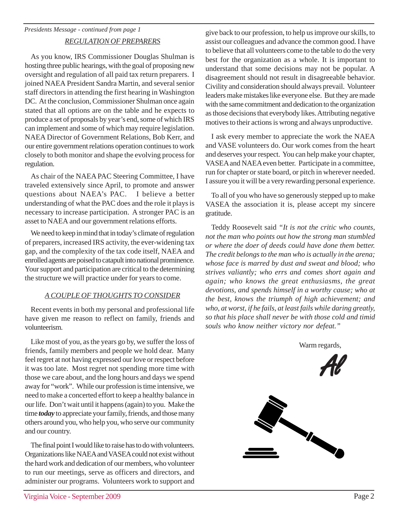## *REGULATION OF PREPARERS*

As you know, IRS Commissioner Douglas Shulman is hosting three public hearings, with the goal of proposing new oversight and regulation of all paid tax return preparers. I joined NAEA President Sandra Martin, and several senior staff directors in attending the first hearing in Washington DC. At the conclusion, Commissioner Shulman once again stated that all options are on the table and he expects to produce a set of proposals by year's end, some of which IRS can implement and some of which may require legislation. NAEA Director of Government Relations, Bob Kerr, and our entire government relations operation continues to work closely to both monitor and shape the evolving process for regulation.

As chair of the NAEA PAC Steering Committee, I have traveled extensively since April, to promote and answer questions about NAEA's PAC. I believe a better understanding of what the PAC does and the role it plays is necessary to increase participation. A stronger PAC is an asset to NAEA and our government relations efforts.

We need to keep in mind that in today's climate of regulation of preparers, increased IRS activity, the ever-widening tax gap, and the complexity of the tax code itself, NAEA and enrolled agents are poised to catapult into national prominence. Your support and participation are critical to the determining the structure we will practice under for years to come.

## *A COUPLE OF THOUGHTS TO CONSIDER*

Recent events in both my personal and professional life have given me reason to reflect on family, friends and volunteerism.

Like most of you, as the years go by, we suffer the loss of friends, family members and people we hold dear. Many feel regret at not having expressed our love or respect before it was too late. Most regret not spending more time with those we care about, and the long hours and days we spend away for "work". While our profession is time intensive, we need to make a concerted effort to keep a healthy balance in our life. Don't wait until it happens (again) to you. Make the time *today* to appreciate your family, friends, and those many others around you, who help you, who serve our community and our country.

The final point I would like to raise has to do with volunteers. Organizations like NAEA and VASEA could not exist without the hard work and dedication of our members, who volunteer to run our meetings, serve as officers and directors, and administer our programs. Volunteers work to support and give back to our profession, to help us improve our skills, to assist our colleagues and advance the common good. I have to believe that all volunteers come to the table to do the very best for the organization as a whole. It is important to understand that some decisions may not be popular. A disagreement should not result in disagreeable behavior. Civility and consideration should always prevail. Volunteer leaders make mistakes like everyone else. But they are made with the same commitment and dedication to the organization as those decisions that everybody likes. Attributing negative motives to their actions is wrong and always unproductive.

I ask every member to appreciate the work the NAEA and VASE volunteers do. Our work comes from the heart and deserves your respect. You can help make your chapter, VASEA and NAEA even better. Participate in a committee, run for chapter or state board, or pitch in wherever needed. I assure you it will be a very rewarding personal experience.

To all of you who have so generously stepped up to make VASEA the association it is, please accept my sincere gratitude.

Teddy Roosevelt said *"It is not the critic who counts, not the man who points out how the strong man stumbled or where the doer of deeds could have done them better. The credit belongs to the man who is actually in the arena; whose face is marred by dust and sweat and blood; who strives valiantly; who errs and comes short again and again; who knows the great enthusiasms, the great devotions, and spends himself in a worthy cause; who at the best, knows the triumph of high achievement; and who, at worst, if he fails, at least fails while daring greatly, so that his place shall never be with those cold and timid souls who know neither victory nor defeat."*

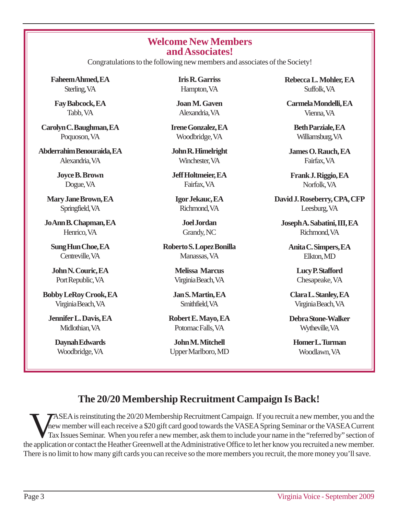## **Welcome New Members and Associates!**

Congratulations to the following new members and associates of the Society!

**Faheem Ahmed, EA** Sterling, VA

**Fay Babcock, EA** Tabb, VA

**Carolyn C. Baughman, EA** Poquoson, VA

**Abderrahim Benouraida, EA** Alexandria, VA

> **Joyce B. Brown** Dogue, VA

**Mary Jane Brown, EA** Springfield, VA

**Jo Ann B. Chapman, EA** Henrico, VA

**Sung Hun Choe, EA** Centreville, VA

**John N. Couric, EA** Port Republic, VA

**Bobby LeRoy Crook, EA** Virginia Beach, VA

**Jennifer L. Davis, EA** Midlothian, VA

> **Daynah Edwards** Woodbridge, VA

**Iris R. Garriss** Hampton, VA

**Joan M. Gaven** Alexandria, VA

**Irene Gonzalez, EA** Woodbridge, VA

**John R. Himelright** Winchester, VA

**Jeff Holtmeier, EA** Fairfax, VA

**Igor Jekauc, EA** Richmond, VA

> **Joel Jordan** Grandy, NC

**Roberto S. Lopez Bonilla** Manassas, VA

> **Melissa Marcus** Virginia Beach, VA

**Jan S. Martin, EA** Smithfield, VA

**Robert E. Mayo, EA** Potomac Falls, VA

**John M. Mitchell** Upper Marlboro, MD **Rebecca L. Mohler, EA** Suffolk, VA

**Carmela Mondelli, EA** Vienna, VA

> **Beth Parziale, EA** Williamsburg, VA

**James O. Rauch, EA** Fairfax, VA

**Frank J. Riggio, EA** Norfolk, VA

**David J. Roseberry, CPA, CFP** Leesburg, VA

**Joseph A. Sabatini, III, EA** Richmond, VA

> **Anita C. Simpers, EA** Elkton, MD

> > **Lucy P. Stafford** Chesapeake, VA

**Clara L. Stanley, EA** Virginia Beach, VA

**Debra Stone-Walker** Wytheville, VA

**Homer L. Turman** Woodlawn, VA

# **The 20/20 Membership Recruitment Campaign Is Back!**

VASEA is reinstituting the 20/20 Membership Recruitment Campaign. If you recruit a new member, you and the mew member will each receive a \$20 gift card good towards the VASEA Spring Seminar or the VASEA Current Tax Issues new member will each receive a \$20 gift card good towards the VASEA Spring Seminar or the VASEA Current Tax Issues Seminar. When you refer a new member, ask them to include your name in the "referred by" section of the application or contact the Heather Greenwell at the Administrative Office to let her know you recruited a new member. There is no limit to how many gift cards you can receive so the more members you recruit, the more money you'll save.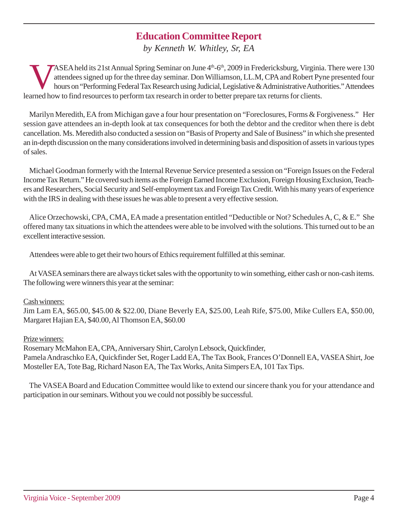# **Education Committee Report**

*by Kenneth W. Whitley, Sr, EA*

ASEA held its 21st Annual Spring Seminar on June 4<sup>th</sup>-6<sup>th</sup>, 2009 in Fredericksburg, Virginia. There were 130 attendees signed up for the three day seminar. Don Williamson, LL.M, CPA and Robert Pyne presented four hours on "Performing Federal Tax Research using Judicial, Legislative & Administrative Authorities." Attendees learned how to find resources to perform tax research in order to better prepare tax returns for clients.

Marilyn Meredith, EA from Michigan gave a four hour presentation on "Foreclosures, Forms & Forgiveness." Her session gave attendees an in-depth look at tax consequences for both the debtor and the creditor when there is debt cancellation. Ms. Meredith also conducted a session on "Basis of Property and Sale of Business" in which she presented an in-depth discussion on the many considerations involved in determining basis and disposition of assets in various types of sales.

Michael Goodman formerly with the Internal Revenue Service presented a session on "Foreign Issues on the Federal Income Tax Return." He covered such items as the Foreign Earned Income Exclusion, Foreign Housing Exclusion, Teachers and Researchers, Social Security and Self-employment tax and Foreign Tax Credit. With his many years of experience with the IRS in dealing with these issues he was able to present a very effective session.

Alice Orzechowski, CPA, CMA, EA made a presentation entitled "Deductible or Not? Schedules A, C, & E." She offered many tax situations in which the attendees were able to be involved with the solutions. This turned out to be an excellent interactive session.

Attendees were able to get their two hours of Ethics requirement fulfilled at this seminar.

At VASEA seminars there are always ticket sales with the opportunity to win something, either cash or non-cash items. The following were winners this year at the seminar:

### Cash winners:

Jim Lam EA, \$65.00, \$45.00 & \$22.00, Diane Beverly EA, \$25.00, Leah Rife, \$75.00, Mike Cullers EA, \$50.00, Margaret Hajian EA, \$40.00, Al Thomson EA, \$60.00

### Prize winners:

Rosemary McMahon EA, CPA, Anniversary Shirt, Carolyn Lebsock, Quickfinder, Pamela Andraschko EA, Quickfinder Set, Roger Ladd EA, The Tax Book, Frances O'Donnell EA, VASEA Shirt, Joe Mosteller EA, Tote Bag, Richard Nason EA, The Tax Works, Anita Simpers EA, 101 Tax Tips.

The VASEA Board and Education Committee would like to extend our sincere thank you for your attendance and participation in our seminars. Without you we could not possibly be successful.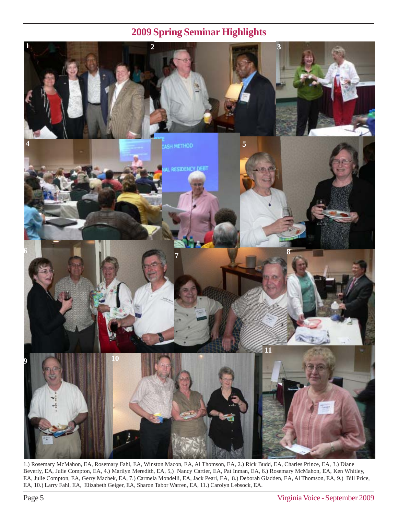# **2009 Spring Seminar Highlights**



1.) Rosemary McMahon, EA, Rosemary Fahl, EA, Winston Macon, EA, Al Thomson, EA, 2.) Rick Budd, EA, Charles Prince, EA, 3.) Diane Beverly, EA, Julie Compton, EA, 4.) Marilyn Meredith, EA, 5,) Nancy Cartier, EA, Pat Inman, EA, 6.) Rosemary McMahon, EA, Ken Whitley, EA, Julie Compton, EA, Gerry Machek, EA, 7.) Carmela Mondelli, EA, Jack Pearl, EA, 8.) Deborah Gladden, EA, Al Thomson, EA, 9.) Bill Price, EA, 10.) Larry Fahl, EA, Elizabeth Geiger, EA, Sharon Tabor Warren, EA, 11.) Carolyn Lebsock, EA.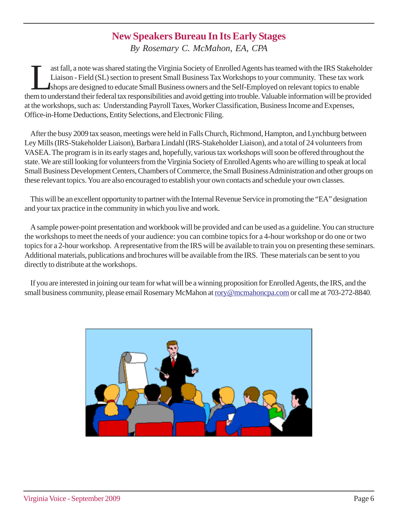## **New Speakers Bureau In Its Early Stages**

*By Rosemary C. McMahon, EA, CPA*

ast fall, a note was shared stating the Virginia Society of Enrolled Agents has teamed with the IRS Stakeholder Liaison - Field (SL) section to present Small Business Tax Workshops to your community. These tax work shops are designed to educate Small Business owners and the Self-Employed on relevant topics to enable them to understand their federal tax responsibilities and avoid getting into trouble. Valuable information will be provided at the workshops, such as: Understanding Payroll Taxes, Worker Classification, Business Income and Expenses, Office-in-Home Deductions, Entity Selections, and Electronic Filing.

After the busy 2009 tax season, meetings were held in Falls Church, Richmond, Hampton, and Lynchburg between Ley Mills (IRS-Stakeholder Liaison), Barbara Lindahl (IRS-Stakeholder Liaison), and a total of 24 volunteers from VASEA. The program is in its early stages and, hopefully, various tax workshops will soon be offered throughout the state. We are still looking for volunteers from the Virginia Society of Enrolled Agents who are willing to speak at local Small Business Development Centers, Chambers of Commerce, the Small Business Administration and other groups on these relevant topics. You are also encouraged to establish your own contacts and schedule your own classes.

This will be an excellent opportunity to partner with the Internal Revenue Service in promoting the "EA" designation and your tax practice in the community in which you live and work.

A sample power-point presentation and workbook will be provided and can be used as a guideline. You can structure the workshops to meet the needs of your audience: you can combine topics for a 4-hour workshop or do one or two topics for a 2-hour workshop. A representative from the IRS will be available to train you on presenting these seminars. Additional materials, publications and brochures will be available from the IRS. These materials can be sent to you directly to distribute at the workshops.

If you are interested in joining our team for what will be a winning proposition for Enrolled Agents, the IRS, and the small business community, please email Rosemary McMahon at rory@mcmahoncpa.com or call me at 703-272-8840.

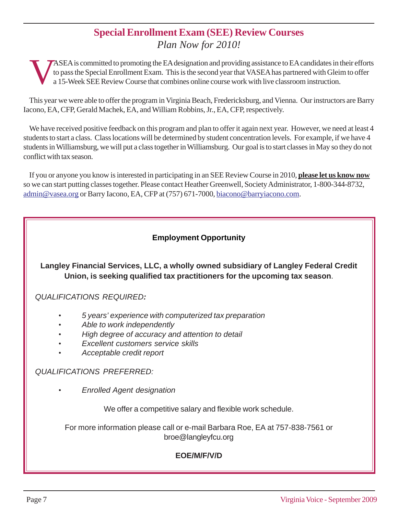# **Special Enrollment Exam (SEE) Review Courses** *Plan Now for 2010!*

ASEA is committed to promoting the EA designation and providing assistance to EA candidates in their efforts<br>to pass the Special Enrollment Exam. This is the second year that VASEA has partnered with Gleim to offer<br>a 15-We to pass the Special Enrollment Exam. This is the second year that VASEA has partnered with Gleim to offer a 15-Week SEE Review Course that combines online course work with live classroom instruction.

This year we were able to offer the program in Virginia Beach, Fredericksburg, and Vienna. Our instructors are Barry Iacono, EA, CFP, Gerald Machek, EA, and William Robbins, Jr., EA, CFP, respectively.

We have received positive feedback on this program and plan to offer it again next year. However, we need at least 4 students to start a class. Class locations will be determined by student concentration levels. For example, if we have 4 students in Williamsburg, we will put a class together in Williamsburg. Our goal is to start classes in May so they do not conflict with tax season.

If you or anyone you know is interested in participating in an SEE Review Course in 2010, **please let us know now** so we can start putting classes together. Please contact Heather Greenwell, Society Administrator, 1-800-344-8732, admin@vasea.org or Barry Iacono, EA, CFP at (757) 671-7000, biacono@barryiacono.com.

## **Employment Opportunity**

**Langley Financial Services, LLC, a wholly owned subsidiary of Langley Federal Credit Union, is seeking qualified tax practitioners for the upcoming tax season**.

*QUALIFICATIONS REQUIRED:*

- *• 5 years' experience with computerized tax preparation*
- *• Able to work independently*
- *• High degree of accuracy and attention to detail*
- *• Excellent customers service skills*
- *• Acceptable credit report*

## *QUALIFICATIONS PREFERRED:*

*• Enrolled Agent designation*

We offer a competitive salary and flexible work schedule.

For more information please call or e-mail Barbara Roe, EA at 757-838-7561 or broe@langleyfcu.org

## **EOE/M/F/V/D**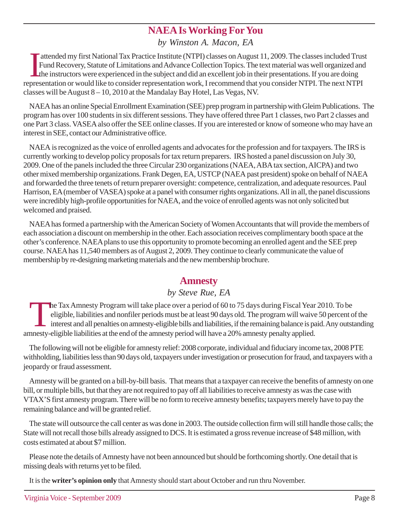# **NAEA Is Working For You**

*by Winston A. Macon, EA*

In a representation or would like to consider representation work, I recommend that you consider NTPI. The next NTPI representation or would like to consider representation work, I recommend that you consider NTPI. The nex attended my first National Tax Practice Institute (NTPI) classes on August 11, 2009. The classes included Trust Fund Recovery, Statute of Limitations and Advance Collection Topics. The text material was well organized and the instructors were experienced in the subject and did an excellent job in their presentations. If you are doing classes will be August 8 – 10, 2010 at the Mandalay Bay Hotel, Las Vegas, NV.

NAEA has an online Special Enrollment Examination (SEE) prep program in partnership with Gleim Publications. The program has over 100 students in six different sessions. They have offered three Part 1 classes, two Part 2 classes and one Part 3 class. VASEA also offer the SEE online classes. If you are interested or know of someone who may have an interest in SEE, contact our Administrative office.

NAEA is recognized as the voice of enrolled agents and advocates for the profession and for taxpayers. The IRS is currently working to develop policy proposals for tax return preparers. IRS hosted a panel discussion on July 30, 2009. One of the panels included the three Circular 230 organizations (NAEA, ABA tax section, AICPA) and two other mixed membership organizations. Frank Degen, EA, USTCP (NAEA past president) spoke on behalf of NAEA and forwarded the three tenets of return preparer oversight: competence, centralization, and adequate resources. Paul Harrison, EA (member of VASEA) spoke at a panel with consumer rights organizations. All in all, the panel discussions were incredibly high-profile opportunities for NAEA, and the voice of enrolled agents was not only solicited but welcomed and praised.

NAEA has formed a partnership with the American Society of Women Accountants that will provide the members of each association a discount on membership in the other. Each association receives complimentary booth space at the other's conference. NAEA plans to use this opportunity to promote becoming an enrolled agent and the SEE prep course. NAEA has 11,540 members as of August 2, 2009. They continue to clearly communicate the value of membership by re-designing marketing materials and the new membership brochure.

## **Amnesty**

## *by Steve Rue, EA*

The Tax Amnesty Program will take place over a period of 60 to 75 days during Fiscal Year 2010. To be eligible, liabilities and nonfiler periods must be at least 90 days old. The program will waive 50 percent of interest a eligible, liabilities and nonfiler periods must be at least 90 days old. The program will waive 50 percent of the interest and all penalties on amnesty-eligible bills and liabilities, if the remaining balance is paid. Any outstanding amnesty-eligible liabilities at the end of the amnesty period will have a 20% amnesty penalty applied.

The following will not be eligible for amnesty relief: 2008 corporate, individual and fiduciary income tax, 2008 PTE withholding, liabilities less than 90 days old, taxpayers under investigation or prosecution for fraud, and taxpayers with a jeopardy or fraud assessment.

Amnesty will be granted on a bill-by-bill basis. That means that a taxpayer can receive the benefits of amnesty on one bill, or multiple bills, but that they are not required to pay off all liabilities to receive amnesty as was the case with VTAX'S first amnesty program. There will be no form to receive amnesty benefits; taxpayers merely have to pay the remaining balance and will be granted relief.

The state will outsource the call center as was done in 2003. The outside collection firm will still handle those calls; the State will not recall those bills already assigned to DCS. It is estimated a gross revenue increase of \$48 million, with costs estimated at about \$7 million.

Please note the details of Amnesty have not been announced but should be forthcoming shortly. One detail that is missing deals with returns yet to be filed.

It is the **writer's opinion only** that Amnesty should start about October and run thru November.